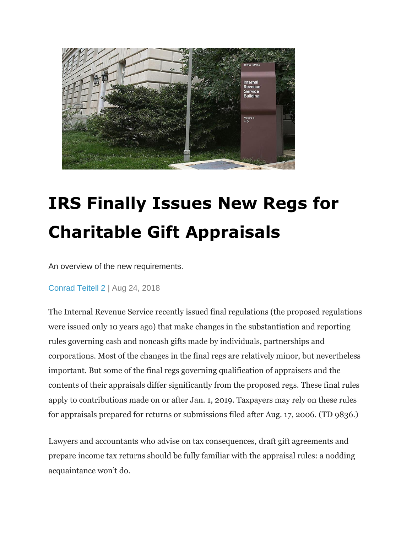

## **IRS Finally Issues New Regs for Charitable Gift Appraisals**

An overview of the new requirements.

[Conrad Teitell 2](https://www.wealthmanagement.com/users/conrad-teitell-2) | Aug 24, 2018

The Internal Revenue Service recently issued final regulations (the proposed regulations were issued only 10 years ago) that make changes in the substantiation and reporting rules governing cash and noncash gifts made by individuals, partnerships and corporations. Most of the changes in the final regs are relatively minor, but nevertheless important. But some of the final regs governing qualification of appraisers and the contents of their appraisals differ significantly from the proposed regs. These final rules apply to contributions made on or after Jan. 1, 2019. Taxpayers may rely on these rules for appraisals prepared for returns or submissions filed after Aug. 17, 2006. (TD 9836.)

Lawyers and accountants who advise on tax consequences, draft gift agreements and prepare income tax returns should be fully familiar with the appraisal rules: a nodding acquaintance won't do.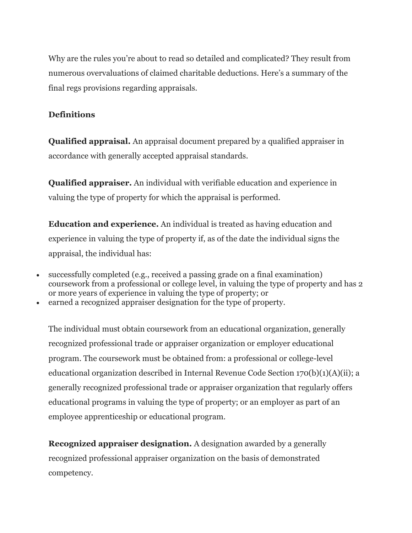Why are the rules you're about to read so detailed and complicated? They result from numerous overvaluations of claimed charitable deductions. Here's a summary of the final regs provisions regarding appraisals.

## **Definitions**

**Qualified appraisal.** An appraisal document prepared by a qualified appraiser in accordance with generally accepted appraisal standards.

**Qualified appraiser.** An individual with verifiable education and experience in valuing the type of property for which the appraisal is performed.

**Education and experience.** An individual is treated as having education and experience in valuing the type of property if, as of the date the individual signs the appraisal, the individual has:

- successfully completed (e.g., received a passing grade on a final examination) coursework from a professional or college level, in valuing the type of property and has 2 or more years of experience in valuing the type of property; or
- earned a recognized appraiser designation for the type of property.

The individual must obtain coursework from an educational organization, generally recognized professional trade or appraiser organization or employer educational program. The coursework must be obtained from: a professional or college-level educational organization described in Internal Revenue Code Section 170(b)(1)(A)(ii); a generally recognized professional trade or appraiser organization that regularly offers educational programs in valuing the type of property; or an employer as part of an employee apprenticeship or educational program.

**Recognized appraiser designation.** A designation awarded by a generally recognized professional appraiser organization on the basis of demonstrated competency.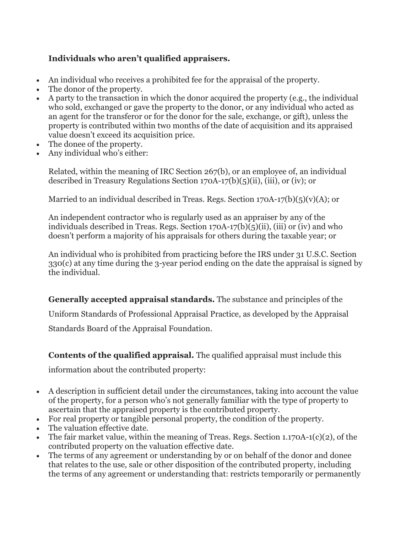## **Individuals who aren't qualified appraisers.**

- An individual who receives a prohibited fee for the appraisal of the property.
- The donor of the property.
- A party to the transaction in which the donor acquired the property (e.g., the individual who sold, exchanged or gave the property to the donor, or any individual who acted as an agent for the transferor or for the donor for the sale, exchange, or gift), unless the property is contributed within two months of the date of acquisition and its appraised value doesn't exceed its acquisition price.
- The donee of the property.
- Any individual who's either:

Related, within the meaning of IRC Section 267(b), or an employee of, an individual described in Treasury Regulations Section 170A-17(b)(5)(ii), (iii), or (iv); or

Married to an individual described in Treas. Regs. Section  $170A-17(b)(5)(v)(A)$ ; or

An independent contractor who is regularly used as an appraiser by any of the individuals described in Treas. Regs. Section 170A-17(b)(5)(ii), (iii) or (iv) and who doesn't perform a majority of his appraisals for others during the taxable year; or

An individual who is prohibited from practicing before the IRS under 31 U.S.C. Section 330(c) at any time during the 3-year period ending on the date the appraisal is signed by the individual.

## **Generally accepted appraisal standards.** The substance and principles of the

Uniform Standards of Professional Appraisal Practice, as developed by the Appraisal

Standards Board of the Appraisal Foundation.

**Contents of the qualified appraisal.** The qualified appraisal must include this

information about the contributed property:

- A description in sufficient detail under the circumstances, taking into account the value of the property, for a person who's not generally familiar with the type of property to ascertain that the appraised property is the contributed property.
- For real property or tangible personal property, the condition of the property.
- The valuation effective date.
- The fair market value, within the meaning of Treas. Regs. Section 1.170A-1(c)(2), of the contributed property on the valuation effective date.
- The terms of any agreement or understanding by or on behalf of the donor and donee that relates to the use, sale or other disposition of the contributed property, including the terms of any agreement or understanding that: restricts temporarily or permanently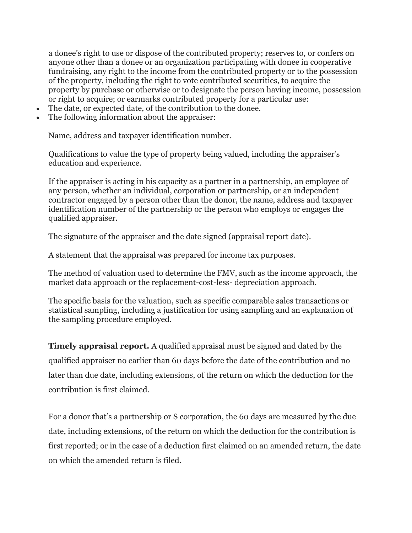a donee's right to use or dispose of the contributed property; reserves to, or confers on anyone other than a donee or an organization participating with donee in cooperative fundraising, any right to the income from the contributed property or to the possession of the property, including the right to vote contributed securities, to acquire the property by purchase or otherwise or to designate the person having income, possession or right to acquire; or earmarks contributed property for a particular use:

- The date, or expected date, of the contribution to the donee.
- The following information about the appraiser:

Name, address and taxpayer identification number.

Qualifications to value the type of property being valued, including the appraiser's education and experience.

If the appraiser is acting in his capacity as a partner in a partnership, an employee of any person, whether an individual, corporation or partnership, or an independent contractor engaged by a person other than the donor, the name, address and taxpayer identification number of the partnership or the person who employs or engages the qualified appraiser.

The signature of the appraiser and the date signed (appraisal report date).

A statement that the appraisal was prepared for income tax purposes.

The method of valuation used to determine the FMV, such as the income approach, the market data approach or the replacement-cost-less- depreciation approach.

The specific basis for the valuation, such as specific comparable sales transactions or statistical sampling, including a justification for using sampling and an explanation of the sampling procedure employed.

**Timely appraisal report.** A qualified appraisal must be signed and dated by the qualified appraiser no earlier than 60 days before the date of the contribution and no later than due date, including extensions, of the return on which the deduction for the contribution is first claimed.

For a donor that's a partnership or S corporation, the 60 days are measured by the due date, including extensions, of the return on which the deduction for the contribution is first reported; or in the case of a deduction first claimed on an amended return, the date on which the amended return is filed.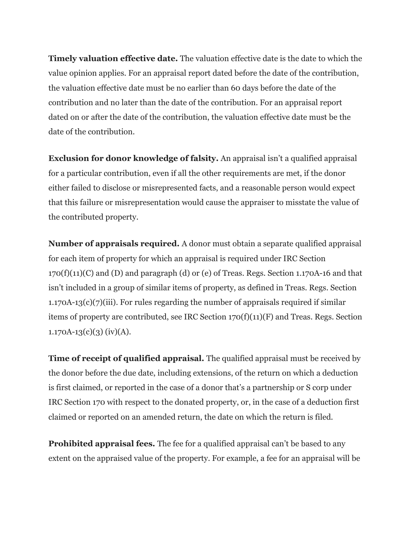**Timely valuation effective date.** The valuation effective date is the date to which the value opinion applies. For an appraisal report dated before the date of the contribution, the valuation effective date must be no earlier than 60 days before the date of the contribution and no later than the date of the contribution. For an appraisal report dated on or after the date of the contribution, the valuation effective date must be the date of the contribution.

**Exclusion for donor knowledge of falsity.** An appraisal isn't a qualified appraisal for a particular contribution, even if all the other requirements are met, if the donor either failed to disclose or misrepresented facts, and a reasonable person would expect that this failure or misrepresentation would cause the appraiser to misstate the value of the contributed property.

**Number of appraisals required.** A donor must obtain a separate qualified appraisal for each item of property for which an appraisal is required under IRC Section  $170(f)(11)(C)$  and (D) and paragraph (d) or (e) of Treas. Regs. Section 1.170A-16 and that isn't included in a group of similar items of property, as defined in Treas. Regs. Section  $1.170A-13(c)(7)(iii)$ . For rules regarding the number of appraisals required if similar items of property are contributed, see IRC Section 170(f)(11)(F) and Treas. Regs. Section  $1.170A-13(c)(3)$  (iv)(A).

**Time of receipt of qualified appraisal.** The qualified appraisal must be received by the donor before the due date, including extensions, of the return on which a deduction is first claimed, or reported in the case of a donor that's a partnership or S corp under IRC Section 170 with respect to the donated property, or, in the case of a deduction first claimed or reported on an amended return, the date on which the return is filed.

**Prohibited appraisal fees.** The fee for a qualified appraisal can't be based to any extent on the appraised value of the property. For example, a fee for an appraisal will be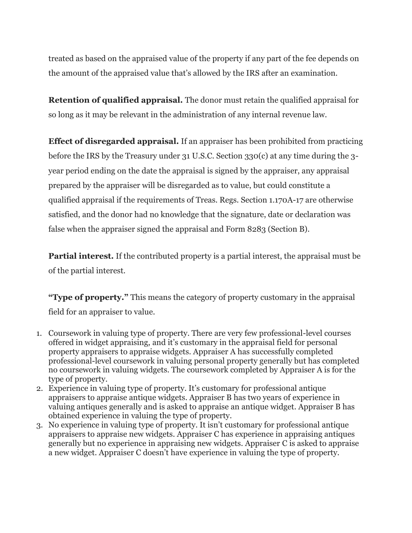treated as based on the appraised value of the property if any part of the fee depends on the amount of the appraised value that's allowed by the IRS after an examination.

**Retention of qualified appraisal.** The donor must retain the qualified appraisal for so long as it may be relevant in the administration of any internal revenue law.

**Effect of disregarded appraisal.** If an appraiser has been prohibited from practicing before the IRS by the Treasury under 31 U.S.C. Section 330(c) at any time during the 3 year period ending on the date the appraisal is signed by the appraiser, any appraisal prepared by the appraiser will be disregarded as to value, but could constitute a qualified appraisal if the requirements of Treas. Regs. Section 1.170A-17 are otherwise satisfied, and the donor had no knowledge that the signature, date or declaration was false when the appraiser signed the appraisal and Form 8283 (Section B).

**Partial interest.** If the contributed property is a partial interest, the appraisal must be of the partial interest.

**"Type of property."** This means the category of property customary in the appraisal field for an appraiser to value.

- 1. Coursework in valuing type of property. There are very few professional-level courses offered in widget appraising, and it's customary in the appraisal field for personal property appraisers to appraise widgets. Appraiser A has successfully completed professional-level coursework in valuing personal property generally but has completed no coursework in valuing widgets. The coursework completed by Appraiser A is for the type of property.
- 2. Experience in valuing type of property. It's customary for professional antique appraisers to appraise antique widgets. Appraiser B has two years of experience in valuing antiques generally and is asked to appraise an antique widget. Appraiser B has obtained experience in valuing the type of property.
- 3. No experience in valuing type of property. It isn't customary for professional antique appraisers to appraise new widgets. Appraiser C has experience in appraising antiques generally but no experience in appraising new widgets. Appraiser C is asked to appraise a new widget. Appraiser C doesn't have experience in valuing the type of property.